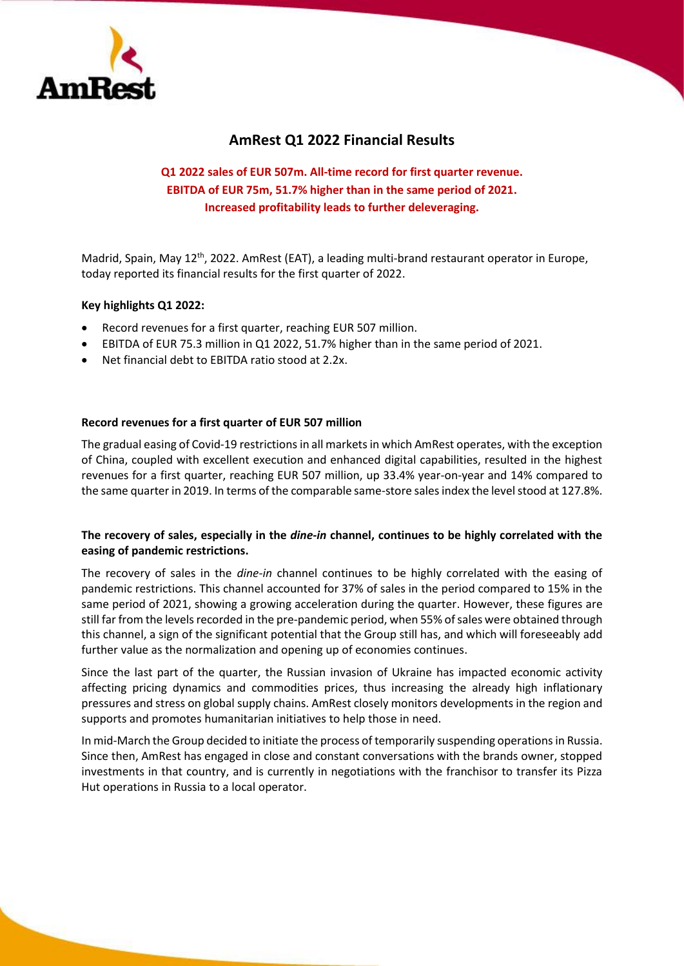

# **AmRest Q1 2022 Financial Results**

# **Q1 2022 sales of EUR 507m. All-time record for first quarter revenue. EBITDA of EUR 75m, 51.7% higher than in the same period of 2021. Increased profitability leads to further deleveraging.**

Madrid, Spain, May 12<sup>th</sup>, 2022. AmRest (EAT), a leading multi-brand restaurant operator in Europe, today reported its financial results for the first quarter of 2022.

## **Key highlights Q1 2022:**

- Record revenues for a first quarter, reaching EUR 507 million.
- EBITDA of EUR 75.3 million in Q1 2022, 51.7% higher than in the same period of 2021.
- Net financial debt to EBITDA ratio stood at 2.2x.

### **Record revenues for a first quarter of EUR 507 million**

The gradual easing of Covid-19 restrictions in all markets in which AmRest operates, with the exception of China, coupled with excellent execution and enhanced digital capabilities, resulted in the highest revenues for a first quarter, reaching EUR 507 million, up 33.4% year-on-year and 14% compared to the same quarter in 2019. In terms of the comparable same-store sales index the level stood at 127.8%.

# **The recovery of sales, especially in the** *dine-in* **channel, continues to be highly correlated with the easing of pandemic restrictions.**

The recovery of sales in the *dine-in* channel continues to be highly correlated with the easing of pandemic restrictions. This channel accounted for 37% of sales in the period compared to 15% in the same period of 2021, showing a growing acceleration during the quarter. However, these figures are still far from the levels recorded in the pre-pandemic period, when 55% of sales were obtained through this channel, a sign of the significant potential that the Group still has, and which will foreseeably add further value as the normalization and opening up of economies continues.

Since the last part of the quarter, the Russian invasion of Ukraine has impacted economic activity affecting pricing dynamics and commodities prices, thus increasing the already high inflationary pressures and stress on global supply chains. AmRest closely monitors developments in the region and supports and promotes humanitarian initiatives to help those in need.

In mid-March the Group decided to initiate the process of temporarily suspending operations in Russia. Since then, AmRest has engaged in close and constant conversations with the brands owner, stopped investments in that country, and is currently in negotiations with the franchisor to transfer its Pizza Hut operations in Russia to a local operator.